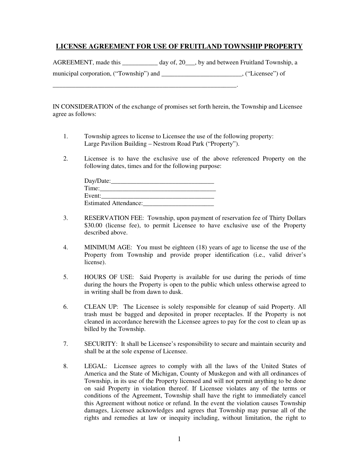## **LICENSE AGREEMENT FOR USE OF FRUITLAND TOWNSHIP PROPERTY**

AGREEMENT, made this \_\_\_\_\_\_\_\_\_\_\_ day of, 20\_\_\_, by and between Fruitland Township, a

municipal corporation, ("Township") and \_\_\_\_\_\_\_\_\_\_\_\_\_\_\_\_\_\_\_\_\_\_\_\_\_, ("Licensee") of

IN CONSIDERATION of the exchange of promises set forth herein, the Township and Licensee agree as follows:

- 1. Township agrees to license to Licensee the use of the following property: Large Pavilion Building – Nestrom Road Park ("Property").
- 2. Licensee is to have the exclusive use of the above referenced Property on the following dates, times and for the following purpose:

| Day/Date:                    |  |
|------------------------------|--|
| Time:                        |  |
| Event:                       |  |
| <b>Estimated Attendance:</b> |  |

\_\_\_\_\_\_\_\_\_\_\_\_\_\_\_\_\_\_\_\_\_\_\_\_\_\_\_\_\_\_\_\_\_\_\_\_\_\_\_\_\_\_\_\_\_\_\_\_\_\_\_\_\_\_\_\_\_.

- 3. RESERVATION FEE: Township, upon payment of reservation fee of Thirty Dollars \$30.00 (license fee), to permit Licensee to have exclusive use of the Property described above.
- 4. MINIMUM AGE: You must be eighteen (18) years of age to license the use of the Property from Township and provide proper identification (i.e., valid driver's license).
- 5. HOURS OF USE: Said Property is available for use during the periods of time during the hours the Property is open to the public which unless otherwise agreed to in writing shall be from dawn to dusk.
- 6. CLEAN UP: The Licensee is solely responsible for cleanup of said Property. All trash must be bagged and deposited in proper receptacles. If the Property is not cleaned in accordance herewith the Licensee agrees to pay for the cost to clean up as billed by the Township.
- 7. SECURITY: It shall be Licensee's responsibility to secure and maintain security and shall be at the sole expense of Licensee.
- 8. LEGAL: Licensee agrees to comply with all the laws of the United States of America and the State of Michigan, County of Muskegon and with all ordinances of Township, in its use of the Property licensed and will not permit anything to be done on said Property in violation thereof. If Licensee violates any of the terms or conditions of the Agreement, Township shall have the right to immediately cancel this Agreement without notice or refund. In the event the violation causes Township damages, Licensee acknowledges and agrees that Township may pursue all of the rights and remedies at law or inequity including, without limitation, the right to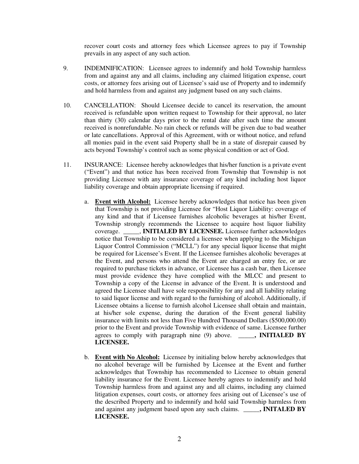recover court costs and attorney fees which Licensee agrees to pay if Township prevails in any aspect of any such action.

- 9. INDEMNIFICATION: Licensee agrees to indemnify and hold Township harmless from and against any and all claims, including any claimed litigation expense, court costs, or attorney fees arising out of Licensee's said use of Property and to indemnify and hold harmless from and against any judgment based on any such claims.
- 10. CANCELLATION: Should Licensee decide to cancel its reservation, the amount received is refundable upon written request to Township for their approval, no later than thirty (30) calendar days prior to the rental date after such time the amount received is nonrefundable. No rain check or refunds will be given due to bad weather or late cancellations. Approval of this Agreement, with or without notice, and refund all monies paid in the event said Property shall be in a state of disrepair caused by acts beyond Township's control such as some physical condition or act of God.
- 11. INSURANCE: Licensee hereby acknowledges that his/her function is a private event ("Event") and that notice has been received from Township that Township is not providing Licensee with any insurance coverage of any kind including host liquor liability coverage and obtain appropriate licensing if required.
	- a. **Event with Alcohol:** Licensee hereby acknowledges that notice has been given that Township is not providing Licensee for "Host Liquor Liability: coverage of any kind and that if Licensee furnishes alcoholic beverages at his/her Event, Township strongly recommends the Licensee to acquire host liquor liability coverage. \_\_\_\_\_, **INITIALED BY LICENSEE.** Licensee further acknowledges notice that Township to be considered a licensee when applying to the Michigan Liquor Control Commission ("MCLL") for any special liquor license that might be required for Licensee's Event. If the Licensee furnishes alcoholic beverages at the Event, and persons who attend the Event are charged an entry fee, or are required to purchase tickets in advance, or Licensee has a cash bar, then Licensee must provide evidence they have complied with the MLCC and present to Township a copy of the License in advance of the Event. It is understood and agreed the Licensee shall have sole responsibility for any and all liability relating to said liquor license and with regard to the furnishing of alcohol. Additionally, if Licensee obtains a license to furnish alcohol Licensee shall obtain and maintain, at his/her sole expense, during the duration of the Event general liability insurance with limits not less than Five Hundred Thousand Dollars (\$500,000.00) prior to the Event and provide Township with evidence of same. Licensee further agrees to comply with paragraph nine (9) above. **\_\_\_\_\_, INITIALED BY LICENSEE.**
	- b. **Event with No Alcohol:** Licensee by initialing below hereby acknowledges that no alcohol beverage will be furnished by Licensee at the Event and further acknowledges that Township has recommended to Licensee to obtain general liability insurance for the Event. Licensee hereby agrees to indemnify and hold Township harmless from and against any and all claims, including any claimed litigation expenses, court costs, or attorney fees arising out of Licensee's use of the described Property and to indemnify and hold said Township harmless from and against any judgment based upon any such claims. **\_\_\_\_\_, INITALED BY LICENSEE.**